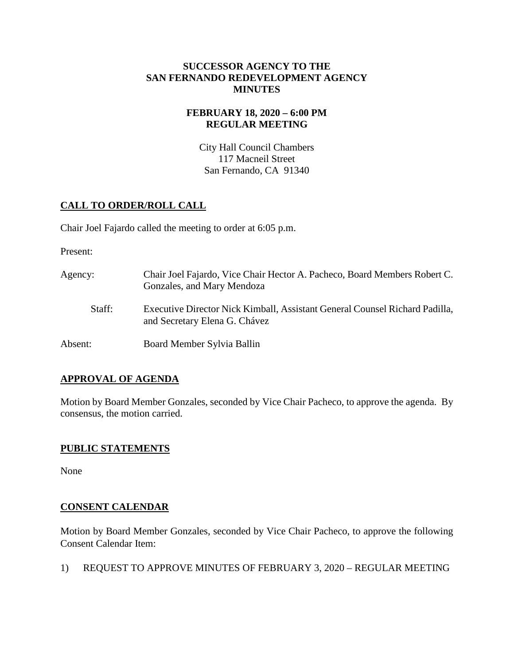#### **SUCCESSOR AGENCY TO THE SAN FERNANDO REDEVELOPMENT AGENCY MINUTES**

## **FEBRUARY 18, 2020 – 6:00 PM REGULAR MEETING**

City Hall Council Chambers 117 Macneil Street San Fernando, CA 91340

# **CALL TO ORDER/ROLL CALL**

Chair Joel Fajardo called the meeting to order at 6:05 p.m.

Present:

Agency: Chair Joel Fajardo, Vice Chair Hector A. Pacheco, Board Members Robert C. Gonzales, and Mary Mendoza Staff: Executive Director Nick Kimball, Assistant General Counsel Richard Padilla, and Secretary Elena G. Chávez Absent: Board Member Sylvia Ballin

## **APPROVAL OF AGENDA**

Motion by Board Member Gonzales, seconded by Vice Chair Pacheco, to approve the agenda. By consensus, the motion carried.

## **PUBLIC STATEMENTS**

None

## **CONSENT CALENDAR**

Motion by Board Member Gonzales, seconded by Vice Chair Pacheco, to approve the following Consent Calendar Item:

1) REQUEST TO APPROVE MINUTES OF FEBRUARY 3, 2020 – REGULAR MEETING